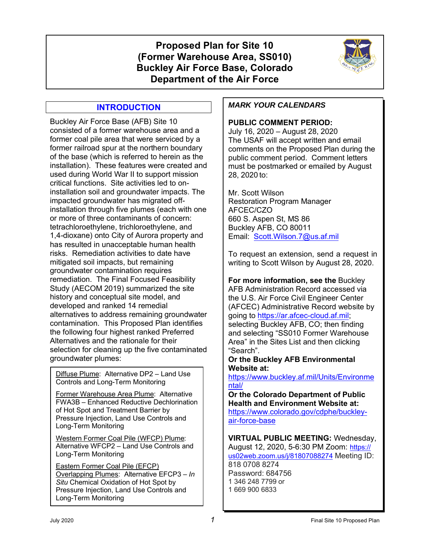# **Proposed Plan for Site 10 (Former Warehouse Area, SS010) Buckley Air Force Base, Colorado Department of the Air Force**



# **INTRODUCTION**

Buckley Air Force Base (AFB) Site 10 consisted of a former warehouse area and a former coal pile area that were serviced by a former railroad spur at the northern boundary of the base (which is referred to herein as the installation). These features were created and used during World War II to support mission critical functions. Site activities led to oninstallation soil and groundwater impacts. The impacted groundwater has migrated offinstallation through five plumes (each with one or more of three contaminants of concern: tetrachloroethylene, trichloroethylene, and 1,4-dioxane) onto City of Aurora property and has resulted in unacceptable human health risks. Remediation activities to date have mitigated soil impacts, but remaining groundwater contamination requires remediation. The Final Focused Feasibility Study (AECOM 2019) summarized the site history and conceptual site model, and developed and ranked 14 remedial alternatives to address remaining groundwater contamination. This Proposed Plan identifies the following four highest ranked Preferred Alternatives and the rationale for their selection for cleaning up the five contaminated groundwater plumes:

Diffuse Plume: Alternative DP2 – Land Use Controls and Long-Term Monitoring

Former Warehouse Area Plume: Alternative FWA3B – Enhanced Reductive Dechlorination of Hot Spot and Treatment Barrier by Pressure Injection, Land Use Controls and Long-Term Monitoring

Western Former Coal Pile (WFCP) Plume: Alternative WFCP2 – Land Use Controls and Long-Term Monitoring

Eastern Former Coal Pile (EFCP) Overlapping Plumes: Alternative EFCP3 – *In Situ* Chemical Oxidation of Hot Spot by Pressure Injection, Land Use Controls and Long-Term Monitoring

# *MARK YOUR CALENDARS*

### **PUBLIC COMMENT PERIOD:**

July 16, 2020 – August 28, 2020 The USAF will accept written and email comments on the Proposed Plan during the public comment period. Comment letters must be postmarked or emailed by August 28, 2020 to:

Mr. Scott Wilson Restoration Program Manager AFCEC/CZO 660 S. Aspen St, MS 86 Buckley AFB, CO 80011 Email: Scott.Wilson.7@us.af.mil

To request an extension, send a request in writing to Scott Wilson by August 28, 2020.

**For more information, see the** Buckley AFB Administration Record accessed via the U.S. Air Force Civil Engineer Center (AFCEC) Administrative Record website by going to https://ar.afcec-cloud.af.mil; selecting Buckley AFB, CO; then finding and selecting "SS010 Former Warehouse Area" in the Sites List and then clicking "Search".

### **Or the Buckley AFB Environmental Website at:**

https://www.buckley.af.mil/Units/Environme ntal/

**Or the Colorado Department of Public Health and Environment Website at:** https://www.colorado.gov/cdphe/buckleyair-force-base

**VIRTUAL PUBLIC MEETING:** Wednesday,

August 12, 2020, 5-6:30 PM Zoom: https:// us02web.zoom.us/j/81807088274 Meeting ID: 818 0708 8274

Password: 684756 1 346 248 7799 or 1 669 900 6833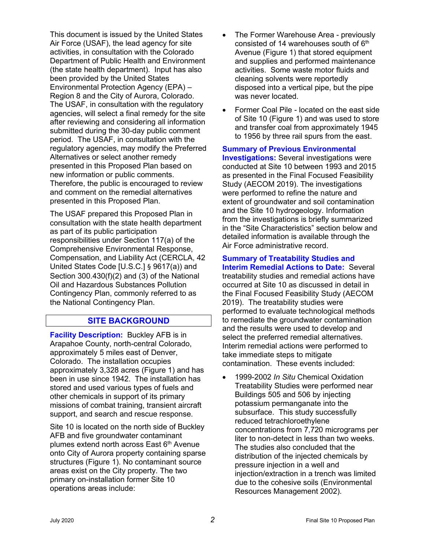This document is issued by the United States Air Force (USAF), the lead agency for site activities, in consultation with the Colorado Department of Public Health and Environment (the state health department). Input has also been provided by the United States Environmental Protection Agency (EPA) – Region 8 and the City of Aurora, Colorado. The USAF, in consultation with the regulatory agencies, will select a final remedy for the site after reviewing and considering all information submitted during the 30-day public comment period. The USAF, in consultation with the regulatory agencies, may modify the Preferred Alternatives or select another remedy presented in this Proposed Plan based on new information or public comments. Therefore, the public is encouraged to review and comment on the remedial alternatives presented in this Proposed Plan.

The USAF prepared this Proposed Plan in consultation with the state health department as part of its public participation responsibilities under Section 117(a) of the Comprehensive Environmental Response, Compensation, and Liability Act (CERCLA, 42 United States Code [U.S.C.] § 9617(a)) and Section 300.430(f)(2) and (3) of the National Oil and Hazardous Substances Pollution Contingency Plan, commonly referred to as the National Contingency Plan.

## **SITE BACKGROUND**

**Facility Description:** Buckley AFB is in Arapahoe County, north-central Colorado, approximately 5 miles east of Denver, Colorado. The installation occupies approximately 3,328 acres (Figure 1) and has been in use since 1942. The installation has stored and used various types of fuels and other chemicals in support of its primary missions of combat training, transient aircraft support, and search and rescue response.

Site 10 is located on the north side of Buckley AFB and five groundwater contaminant plumes extend north across East  $6<sup>th</sup>$  Avenue onto City of Aurora property containing sparse structures (Figure 1). No contaminant source areas exist on the City property. The two primary on-installation former Site 10 operations areas include:

- The Former Warehouse Area previously consisted of 14 warehouses south of  $6<sup>th</sup>$ Avenue (Figure 1) that stored equipment and supplies and performed maintenance activities. Some waste motor fluids and cleaning solvents were reportedly disposed into a vertical pipe, but the pipe was never located.
- Former Coal Pile located on the east side of Site 10 (Figure 1) and was used to store and transfer coal from approximately 1945 to 1956 by three rail spurs from the east.

#### **Summary of Previous Environmental**

**Investigations:** Several investigations were conducted at Site 10 between 1993 and 2015 as presented in the Final Focused Feasibility Study (AECOM 2019). The investigations were performed to refine the nature and extent of groundwater and soil contamination and the Site 10 hydrogeology. Information from the investigations is briefly summarized in the "Site Characteristics" section below and detailed information is available through the Air Force administrative record.

**Summary of Treatability Studies and Interim Remedial Actions to Date:** Several treatability studies and remedial actions have occurred at Site 10 as discussed in detail in the Final Focused Feasibility Study (AECOM 2019). The treatability studies were performed to evaluate technological methods to remediate the groundwater contamination and the results were used to develop and select the preferred remedial alternatives. Interim remedial actions were performed to take immediate steps to mitigate contamination. These events included:

• 1999-2002 *In Situ* Chemical Oxidation Treatability Studies were performed near Buildings 505 and 506 by injecting potassium permanganate into the subsurface. This study successfully reduced tetrachloroethylene concentrations from 7,720 micrograms per liter to non-detect in less than two weeks. The studies also concluded that the distribution of the injected chemicals by pressure injection in a well and injection/extraction in a trench was limited due to the cohesive soils (Environmental Resources Management 2002).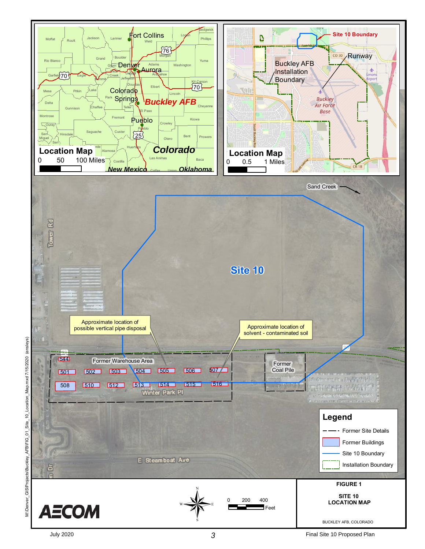

July 2020

**3 1** Final Site 10 Proposed Plan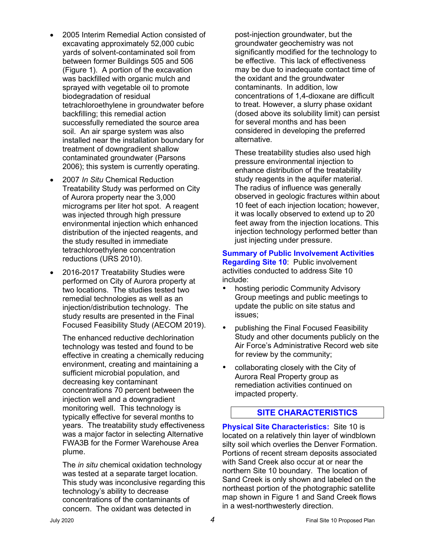- 2005 Interim Remedial Action consisted of excavating approximately 52,000 cubic yards of solvent-contaminated soil from between former Buildings 505 and 506 (Figure 1). A portion of the excavation was backfilled with organic mulch and sprayed with vegetable oil to promote biodegradation of residual tetrachloroethylene in groundwater before backfilling; this remedial action successfully remediated the source area soil. An air sparge system was also installed near the installation boundary for treatment of downgradient shallow contaminated groundwater (Parsons 2006); this system is currently operating.
- 2007 *In Situ* Chemical Reduction Treatability Study was performed on City of Aurora property near the 3,000 micrograms per liter hot spot. A reagent was injected through high pressure environmental injection which enhanced distribution of the injected reagents, and the study resulted in immediate tetrachloroethylene concentration reductions (URS 2010).
- 2016-2017 Treatability Studies were performed on City of Aurora property at two locations. The studies tested two remedial technologies as well as an injection/distribution technology. The study results are presented in the Final Focused Feasibility Study (AECOM 2019).

The enhanced reductive dechlorination technology was tested and found to be effective in creating a chemically reducing environment, creating and maintaining a sufficient microbial population, and decreasing key contaminant concentrations 70 percent between the injection well and a downgradient monitoring well. This technology is typically effective for several months to years. The treatability study effectiveness was a major factor in selecting Alternative FWA3B for the Former Warehouse Area plume.

The *in situ* chemical oxidation technology was tested at a separate target location. This study was inconclusive regarding this technology's ability to decrease concentrations of the contaminants of concern. The oxidant was detected in

post-injection groundwater, but the groundwater geochemistry was not significantly modified for the technology to be effective. This lack of effectiveness may be due to inadequate contact time of the oxidant and the groundwater contaminants. In addition, low concentrations of 1,4-dioxane are difficult to treat. However, a slurry phase oxidant (dosed above its solubility limit) can persist for several months and has been considered in developing the preferred alternative.

These treatability studies also used high pressure environmental injection to enhance distribution of the treatability study reagents in the aquifer material. The radius of influence was generally observed in geologic fractures within about 10 feet of each injection location; however, it was locally observed to extend up to 20 feet away from the injection locations. This injection technology performed better than just injecting under pressure.

#### **Summary of Public Involvement Activities Regarding Site 10**: Public involvement activities conducted to address Site 10 include:

- hosting periodic Community Advisory Group meetings and public meetings to update the public on site status and issues;
- publishing the Final Focused Feasibility Study and other documents publicly on the Air Force's Administrative Record web site for review by the community;
- collaborating closely with the City of Aurora Real Property group as remediation activities continued on impacted property.

## **SITE CHARACTERISTICS**

**Physical Site Characteristics:** Site 10 is located on a relatively thin layer of windblown silty soil which overlies the Denver Formation. Portions of recent stream deposits associated with Sand Creek also occur at or near the northern Site 10 boundary. The location of Sand Creek is only shown and labeled on the northeast portion of the photographic satellite map shown in Figure 1 and Sand Creek flows in a west-northwesterly direction.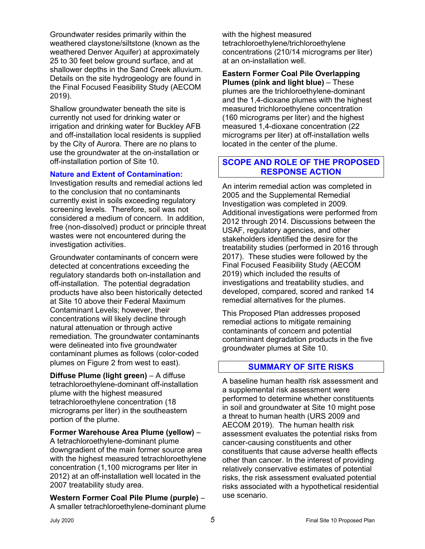Groundwater resides primarily within the weathered claystone/siltstone (known as the weathered Denver Aquifer) at approximately 25 to 30 feet below ground surface, and at shallower depths in the Sand Creek alluvium. Details on the site hydrogeology are found in the Final Focused Feasibility Study (AECOM 2019).

Shallow groundwater beneath the site is currently not used for drinking water or irrigation and drinking water for Buckley AFB and off-installation local residents is supplied by the City of Aurora. There are no plans to use the groundwater at the on-installation or off-installation portion of Site 10.

#### **Nature and Extent of Contamination:**

Investigation results and remedial actions led to the conclusion that no contaminants currently exist in soils exceeding regulatory screening levels. Therefore, soil was not considered a medium of concern. In addition, free (non-dissolved) product or principle threat wastes were not encountered during the investigation activities.

Groundwater contaminants of concern were detected at concentrations exceeding the regulatory standards both on-installation and off-installation. The potential degradation products have also been historically detected at Site 10 above their Federal Maximum Contaminant Levels; however, their concentrations will likely decline through natural attenuation or through active remediation. The groundwater contaminants were delineated into five groundwater contaminant plumes as follows (color-coded plumes on Figure 2 from west to east).

**Diffuse Plume (light green)** – A diffuse tetrachloroethylene-dominant off-installation plume with the highest measured tetrachloroethylene concentration (18 micrograms per liter) in the southeastern portion of the plume.

**Former Warehouse Area Plume (yellow)** –

A tetrachloroethylene-dominant plume downgradient of the main former source area with the highest measured tetrachloroethylene concentration (1,100 micrograms per liter in 2012) at an off-installation well located in the 2007 treatability study area.

**Western Former Coal Pile Plume (purple)** – A smaller tetrachloroethylene-dominant plume with the highest measured tetrachloroethylene/trichloroethylene concentrations (210/14 micrograms per liter) at an on-installation well.

**Eastern Former Coal Pile Overlapping Plumes (pink and light blue)** – These plumes are the trichloroethylene-dominant and the 1,4-dioxane plumes with the highest measured trichloroethylene concentration (160 micrograms per liter) and the highest measured 1,4-dioxane concentration (22 micrograms per liter) at off-installation wells located in the center of the plume.

### **SCOPE AND ROLE OF THE PROPOSED RESPONSE ACTION**

An interim remedial action was completed in 2005 and the Supplemental Remedial Investigation was completed in 2009. Additional investigations were performed from 2012 through 2014. Discussions between the USAF, regulatory agencies, and other stakeholders identified the desire for the treatability studies (performed in 2016 through 2017). These studies were followed by the Final Focused Feasibility Study (AECOM 2019) which included the results of investigations and treatability studies, and developed, compared, scored and ranked 14 remedial alternatives for the plumes.

This Proposed Plan addresses proposed remedial actions to mitigate remaining contaminants of concern and potential contaminant degradation products in the five groundwater plumes at Site 10.

### **SUMMARY OF SITE RISKS**

A baseline human health risk assessment and a supplemental risk assessment were performed to determine whether constituents in soil and groundwater at Site 10 might pose a threat to human health (URS 2009 and AECOM 2019). The human health risk assessment evaluates the potential risks from cancer-causing constituents and other constituents that cause adverse health effects other than cancer. In the interest of providing relatively conservative estimates of potential risks, the risk assessment evaluated potential risks associated with a hypothetical residential use scenario.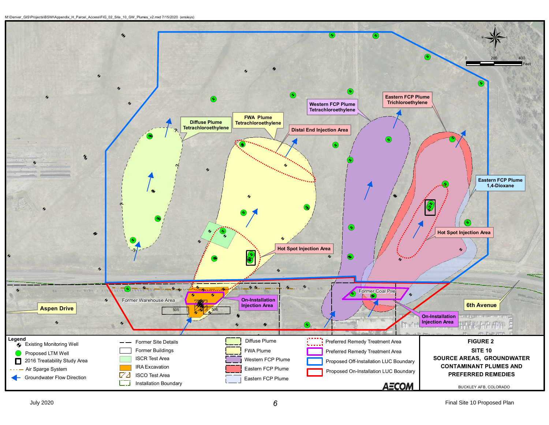```
A
M:\Denver_GIS\Projects\BSWI\Appendix_H_Parcel_Access\FIG_02_Site_10_GW_Plumes_v2.mxd 7/15/2020 (ensleys)
```
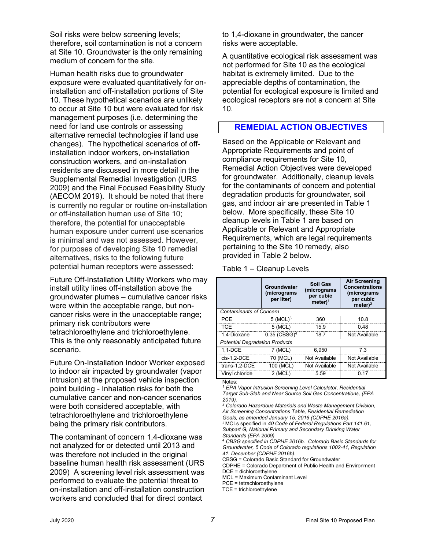Soil risks were below screening levels; therefore, soil contamination is not a concern at Site 10. Groundwater is the only remaining medium of concern for the site.

Human health risks due to groundwater exposure were evaluated quantitatively for oninstallation and off-installation portions of Site 10. These hypothetical scenarios are unlikely to occur at Site 10 but were evaluated for risk management purposes (i.e. determining the need for land use controls or assessing alternative remedial technologies if land use changes). The hypothetical scenarios of offinstallation indoor workers, on-installation construction workers, and on-installation residents are discussed in more detail in the Supplemental Remedial Investigation (URS 2009) and the Final Focused Feasibility Study (AECOM 2019). It should be noted that there is currently no regular or routine on-installation or off-installation human use of Site 10; therefore, the potential for unacceptable human exposure under current use scenarios is minimal and was not assessed. However, for purposes of developing Site 10 remedial alternatives, risks to the following future potential human receptors were assessed:

Future Off-Installation Utility Workers who may install utility lines off-installation above the groundwater plumes – cumulative cancer risks were within the acceptable range, but noncancer risks were in the unacceptable range; primary risk contributors were tetrachloroethylene and trichloroethylene. This is the only reasonably anticipated future scenario.

Future On-Installation Indoor Worker exposed to indoor air impacted by groundwater (vapor intrusion) at the proposed vehicle inspection point building - Inhalation risks for both the cumulative cancer and non-cancer scenarios were both considered acceptable, with tetrachloroethylene and trichloroethylene being the primary risk contributors.

The contaminant of concern 1,4-dioxane was not analyzed for or detected until 2013 and was therefore not included in the original baseline human health risk assessment (URS 2009) A screening level risk assessment was performed to evaluate the potential threat to on-installation and off-installation construction workers and concluded that for direct contact

to 1,4-dioxane in groundwater, the cancer risks were acceptable.

A quantitative ecological risk assessment was not performed for Site 10 as the ecological habitat is extremely limited. Due to the appreciable depths of contamination, the potential for ecological exposure is limited and ecological receptors are not a concern at Site 10.

### **REMEDIAL ACTION OBJECTIVES**

Based on the Applicable or Relevant and Appropriate Requirements and point of compliance requirements for Site 10, Remedial Action Objectives were developed for groundwater. Additionally, cleanup levels for the contaminants of concern and potential degradation products for groundwater, soil gas, and indoor air are presented in Table 1 below. More specifically, these Site 10 cleanup levels in Table 1 are based on Applicable or Relevant and Appropriate Requirements, which are legal requirements pertaining to the Site 10 remedy, also provided in Table 2 below.

Table 1 – Cleanup Levels

|                                       | Groundwater<br>(micrograms<br>per liter) | <b>Soil Gas</b><br>(micrograms<br>per cubic<br>meter) <sup>1</sup> | <b>Air Screening</b><br><b>Concentrations</b><br>(micrograms<br>per cubic<br>meter $)^2$ |  |  |  |  |
|---------------------------------------|------------------------------------------|--------------------------------------------------------------------|------------------------------------------------------------------------------------------|--|--|--|--|
| <b>Contaminants of Concern</b>        |                                          |                                                                    |                                                                                          |  |  |  |  |
| PCF                                   | $5$ (MCL) <sup>3</sup>                   | 360                                                                | 10 8                                                                                     |  |  |  |  |
| TCF                                   | 5 (MCL)                                  | 159                                                                | 0 48                                                                                     |  |  |  |  |
| 1.4-Dioxane                           | $0.35$ (CBSG) <sup>4</sup>               | 18.7                                                               | Not Available                                                                            |  |  |  |  |
| <b>Potential Degradation Products</b> |                                          |                                                                    |                                                                                          |  |  |  |  |
| $1.1 - DCE$                           | 7 (MCL)                                  | 6.950                                                              | 73                                                                                       |  |  |  |  |
| cis-1.2-DCE                           | 70 (MCL)                                 | Not Available                                                      | Not Available                                                                            |  |  |  |  |
| trans-1,2-DCE                         | 100 (MCL)                                | Not Available                                                      | Not Available                                                                            |  |  |  |  |
| Vinvl chloride                        | 2 (MCL)                                  | 5.59                                                               | በ 17                                                                                     |  |  |  |  |

Notes:

*<sup>3</sup>* MCLs specified in *40 Code of Federal Regulations Part 141.61, Subpart G, National Primary and Secondary Drinking Water Standards (EPA 2009)*

- *<sup>4</sup> CBSG specified in CDPHE 2016b. Colorado Basic Standards for Groundwater, 5 Code of Colorado regulations 1002-41, Regulation 41. December (CDPHE 2016b)*.
- CBSG = Colorado Basic Standard for Groundwater

*<sup>1</sup> EPA Vapor Intrusion Screening Level Calculator, Residential Target Sub-Slab and Near Source Soil Gas Concentrations, (EPA 2019).*

*<sup>2</sup> Colorado Hazardous Materials and Waste Management Division, Air Screening Concentrations Table, Residential Remediation Goals, as amended January 15, 2016 (CDPHE 2016a).*

CDPHE = Colorado Department of Public Health and Environment DCE = dichloroethylene

MCL = Maximum Contaminant Level

PCE = tetrachloroethylene

TCE = trichloroethylene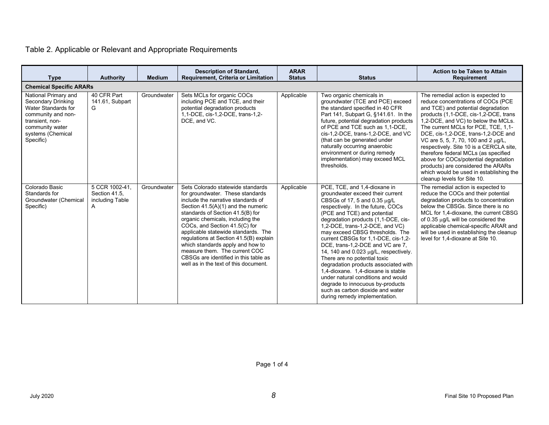| <b>Type</b>                                                                                                                                                            | <b>Authority</b>                                        | <b>Medium</b> | <b>Description of Standard,</b><br>Requirement, Criteria or Limitation                                                                                                                                                                                                                                                                                                                                                                                                                               | <b>ARAR</b><br><b>Status</b> | <b>Status</b>                                                                                                                                                                                                                                                                                                                                                                                                                                                                                                                                                                                                                                                           | <b>Action to be Taken to Attain</b><br>Requirement                                                                                                                                                                                                                                                                                                                                                                                                                                                                                                             |  |
|------------------------------------------------------------------------------------------------------------------------------------------------------------------------|---------------------------------------------------------|---------------|------------------------------------------------------------------------------------------------------------------------------------------------------------------------------------------------------------------------------------------------------------------------------------------------------------------------------------------------------------------------------------------------------------------------------------------------------------------------------------------------------|------------------------------|-------------------------------------------------------------------------------------------------------------------------------------------------------------------------------------------------------------------------------------------------------------------------------------------------------------------------------------------------------------------------------------------------------------------------------------------------------------------------------------------------------------------------------------------------------------------------------------------------------------------------------------------------------------------------|----------------------------------------------------------------------------------------------------------------------------------------------------------------------------------------------------------------------------------------------------------------------------------------------------------------------------------------------------------------------------------------------------------------------------------------------------------------------------------------------------------------------------------------------------------------|--|
| <b>Chemical Specific ARARs</b>                                                                                                                                         |                                                         |               |                                                                                                                                                                                                                                                                                                                                                                                                                                                                                                      |                              |                                                                                                                                                                                                                                                                                                                                                                                                                                                                                                                                                                                                                                                                         |                                                                                                                                                                                                                                                                                                                                                                                                                                                                                                                                                                |  |
| National Primary and<br><b>Secondary Drinking</b><br>Water Standards for<br>community and non-<br>transient. non-<br>community water<br>systems (Chemical<br>Specific) | 40 CFR Part<br>141.61, Subpart<br>G                     | Groundwater   | Sets MCLs for organic COCs<br>including PCE and TCE, and their<br>potential degradation products<br>1,1-DCE, cis-1,2-DCE, trans-1,2-<br>DCE, and VC.                                                                                                                                                                                                                                                                                                                                                 | Applicable                   | Two organic chemicals in<br>groundwater (TCE and PCE) exceed<br>the standard specified in 40 CFR<br>Part 141, Subpart G, §141.61. In the<br>future, potential degradation products<br>of PCE and TCE such as 1,1-DCE,<br>cis-1,2-DCE, trans-1,2-DCE, and VC<br>(that can be generated under<br>naturally occurring anaerobic<br>environment or during remedy<br>implementation) may exceed MCL<br>thresholds.                                                                                                                                                                                                                                                           | The remedial action is expected to<br>reduce concentrations of COCs (PCE<br>and TCE) and potential degradation<br>products (1,1-DCE, cis-1,2-DCE, trans<br>1,2-DCE, and VC) to below the MCLs.<br>The current MCLs for PCE, TCE, 1,1-<br>DCE, cis-1,2-DCE, trans-1,2-DCE and<br>VC are 5, 5, 7, 70, 100 and 2 µg/L,<br>respectively. Site 10 is a CERCLA site,<br>therefore federal MCLs (as specified<br>above for COCs/potential degradation<br>products) are considered the ARARs<br>which would be used in establishing the<br>cleanup levels for Site 10. |  |
| Colorado Basic<br>Standards for<br>Groundwater (Chemical<br>Specific)                                                                                                  | 5 CCR 1002-41,<br>Section 41.5.<br>including Table<br>A | Groundwater   | Sets Colorado statewide standards<br>for groundwater. These standards<br>include the narrative standards of<br>Section $41.5(A)(1)$ and the numeric<br>standards of Section 41.5(B) for<br>organic chemicals, including the<br>COCs, and Section 41.5(C) for<br>applicable statewide standards. The<br>regulations at Section 41.5(B) explain<br>which standards apply and how to<br>measure them. The current COC<br>CBSGs are identified in this table as<br>well as in the text of this document. | Applicable                   | PCE, TCE, and 1,4-dioxane in<br>groundwater exceed their current<br>CBSGs of 17, 5 and 0.35 µg/L<br>respectively. In the future, COCs<br>(PCE and TCE) and potential<br>degradation products (1,1-DCE, cis-<br>1.2-DCE. trans-1.2-DCE. and VC)<br>may exceed CBSG thresholds. The<br>current CBSGs for 1,1-DCE, cis-1,2-<br>DCE, trans-1,2-DCE and VC are 7,<br>14, 140 and 0.023 $\mu$ g/L, respectively.<br>There are no potential toxic<br>degradation products associated with<br>1.4-dioxane. 1.4-dioxane is stable<br>under natural conditions and would<br>degrade to innocuous by-products<br>such as carbon dioxide and water<br>during remedy implementation. | The remedial action is expected to<br>reduce the COCs and their potential<br>degradation products to concentration<br>below the CBSGs. Since there is no<br>MCL for 1,4-dioxane, the current CBSG<br>of 0.35 µq/L will be considered the<br>applicable chemical-specific ARAR and<br>will be used in establishing the cleanup<br>level for 1,4-dioxane at Site 10.                                                                                                                                                                                             |  |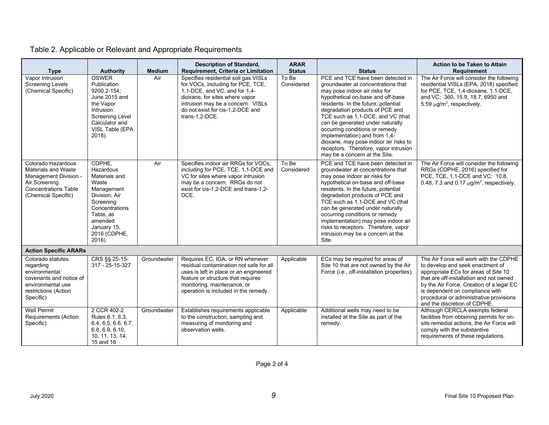| <b>Type</b>                                                                                                                                      | <b>Authority</b>                                                                                                                                                            | <b>Medium</b> | <b>Description of Standard,</b><br>Requirement, Criteria or Limitation                                                                                                                                                                  | <b>ARAR</b><br><b>Status</b> | <b>Status</b>                                                                                                                                                                                                                                                                                                                                                                                                                                                                          | Action to be Taken to Attain<br><b>Requirement</b>                                                                                                                                                                                                                                                                      |
|--------------------------------------------------------------------------------------------------------------------------------------------------|-----------------------------------------------------------------------------------------------------------------------------------------------------------------------------|---------------|-----------------------------------------------------------------------------------------------------------------------------------------------------------------------------------------------------------------------------------------|------------------------------|----------------------------------------------------------------------------------------------------------------------------------------------------------------------------------------------------------------------------------------------------------------------------------------------------------------------------------------------------------------------------------------------------------------------------------------------------------------------------------------|-------------------------------------------------------------------------------------------------------------------------------------------------------------------------------------------------------------------------------------------------------------------------------------------------------------------------|
| Vapor Intrusion<br><b>Screening Levels</b><br>(Chemical Specific)                                                                                | <b>OSWER</b><br>Publication<br>9200.2-154:<br>June 2015 and<br>the Vapor<br>Intrusion<br>Screening Level<br>Calculator and<br>VISL Table (EPA<br>2018).                     | Air           | Specifies residential soil gas VISLs<br>for VOCs, including for PCE, TCE,<br>1,1-DCE, and VC, and for 1,4-<br>dioxane, for sites where vapor<br>intrusion may be a concern. VISLs<br>do not exist for cis-1,2-DCE and<br>trans-1,2-DCE. | To Be<br>Considered          | PCE and TCE have been detected in<br>groundwater at concentrations that<br>may pose indoor air risks for<br>hypothetical on-base and off-base<br>residents. In the future, potential<br>degradation products of PCE and<br>TCE such as 1,1-DCE, and VC (that<br>can be generated under naturally<br>occurring conditions or remedy<br>implementation) and from 1,4-<br>dioxane, may pose indoor air risks to<br>receptors. Therefore, vapor intrusion<br>may be a concern at the Site. | The Air Force will consider the following<br>residential VISLs (EPA, 2018) specified<br>for PCE, TCE, 1,4-dioxane, 1,1-DCE,<br>and VC: 360, 15.9, 18.7, 6950 and<br>5.59 $\mu$ g/m <sup>3</sup> , respectively.                                                                                                         |
| Colorado Hazardous<br><b>Materials and Waste</b><br>Management Division -<br>Air Screening<br><b>Concentrations Table</b><br>(Chemical Specific) | CDPHE,<br>Hazardous<br>Materials and<br>Waste<br>Management<br>Division, Air<br>Screening<br>Concentrations<br>Table, as<br>amended<br>January 15,<br>2016 (CDPHE,<br>2016) | Air           | Specifies indoor air RRGs for VOCs,<br>including for PCE, TCE, 1,1-DCE and<br>VC for sites where vapor intrusion<br>may be a concern. RRGs do not<br>exist for cis-1.2-DCE and trans-1.2-<br>DCE.                                       | To Be<br>Considered          | PCE and TCE have been detected in<br>groundwater at concentrations that<br>may pose indoor air risks for<br>hypothetical on-base and off-base<br>residents. In the future, potential<br>degradation products of PCE and<br>TCE such as 1.1-DCE and VC (that<br>can be generated under naturally<br>occurring conditions or remedy<br>implementation) may pose indoor air<br>risks to receptors. Therefore, vapor<br>intrusion may be a concern at the<br>Site.                         | The Air Force will consider the following<br>RRGs (CDPHE, 2016) specified for<br>PCE, TCE, 1,1-DCE and VC: 10.8,<br>0.48, 7.3 and 0.17 $\mu$ g/m <sup>3</sup> , respectively.                                                                                                                                           |
| <b>Action Specific ARARs</b>                                                                                                                     |                                                                                                                                                                             |               |                                                                                                                                                                                                                                         |                              |                                                                                                                                                                                                                                                                                                                                                                                                                                                                                        |                                                                                                                                                                                                                                                                                                                         |
| Colorado statutes<br>regarding<br>environmental<br>covenants and notice of<br>environmental use<br>restrictions (Action<br>Specific)             | CRS §§ 25-15-<br>317 - 25-15-327                                                                                                                                            | Groundwater   | Requires EC, IGA, or RN whenever<br>residual contamination not safe for all<br>uses is left in place or an engineered<br>feature or structure that requires<br>monitoring, maintenance, or<br>operation is included in the remedy.      | Applicable                   | ECs may be required for areas of<br>Site 10 that are not owned by the Air<br>Force (i.e., off-installation properties).                                                                                                                                                                                                                                                                                                                                                                | The Air Force will work with the CDPHE<br>to develop and seek enactment of<br>appropriate ECs for areas of Site 10<br>that are off-installation and not owned<br>by the Air Force. Creation of a legal EC<br>is dependent on compliance with<br>procedural or administrative provisions<br>and the discretion of CDPHE. |
| <b>Well Permit</b><br>Requirements (Action<br>Specific)                                                                                          | 2 CCR 402-2<br>Rules 6.1, 6.3,<br>6.4, 6.5, 6.6, 6.7,<br>6.8, 6.9, 6.10,<br>10, 11, 13, 14,<br>15 and 16                                                                    | Groundwater   | Establishes requirements applicable<br>to the construction, sampling and<br>measuring of monitoring and<br>observation wells.                                                                                                           | Applicable                   | Additional wells may need to be<br>installed at the Site as part of the<br>remedy.                                                                                                                                                                                                                                                                                                                                                                                                     | Although CERCLA exempts federal<br>facilities from obtaining permits for on-<br>site remedial actions, the Air Force will<br>comply with the substantive<br>requirements of these regulations.                                                                                                                          |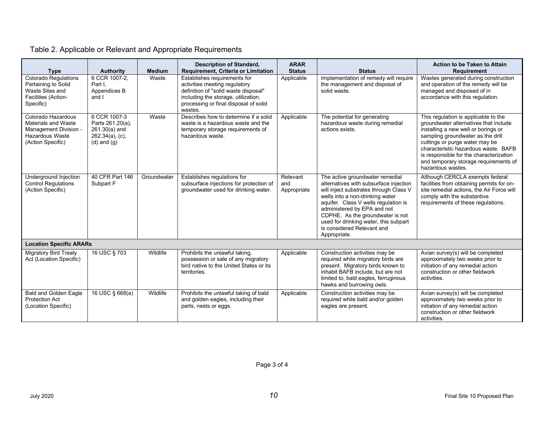| <b>Type</b>                                                                                                       | <b>Authority</b>                                                                             | <b>Medium</b> | <b>Description of Standard,</b><br>Requirement, Criteria or Limitation                                                                                                                           | <b>ARAR</b><br><b>Status</b>   | <b>Status</b>                                                                                                                                                                                                                                                                                                                                            | <b>Action to be Taken to Attain</b><br><b>Requirement</b>                                                                                                                                                                                                                                                                                    |
|-------------------------------------------------------------------------------------------------------------------|----------------------------------------------------------------------------------------------|---------------|--------------------------------------------------------------------------------------------------------------------------------------------------------------------------------------------------|--------------------------------|----------------------------------------------------------------------------------------------------------------------------------------------------------------------------------------------------------------------------------------------------------------------------------------------------------------------------------------------------------|----------------------------------------------------------------------------------------------------------------------------------------------------------------------------------------------------------------------------------------------------------------------------------------------------------------------------------------------|
| Colorado Regulations<br>Pertaining to Solid<br>Waste Sites and<br>Facilities (Action-<br>Specific)                | 6 CCR 1007-2,<br>Part I.<br>Appendices B<br>and I                                            | Waste         | Establishes requirements for<br>activities meeting regulatory<br>definition of "solid waste disposal"<br>including the storage, utilization,<br>processing or final disposal of solid<br>wastes. | Applicable                     | Implementation of remedy will require<br>the management and disposal of<br>solid waste.                                                                                                                                                                                                                                                                  | Wastes generated during construction<br>and operation of the remedy will be<br>managed and disposed of in<br>accordance with this regulation.                                                                                                                                                                                                |
| Colorado Hazardous<br>Materials and Waste<br>Management Division -<br><b>Hazardous Waste</b><br>(Action Specific) | 6 CCR 1007-3<br>Parts 261.20(a),<br>$261.30(a)$ and<br>$262.34(a)$ , (c),<br>$(d)$ and $(q)$ | Waste         | Describes how to determine if a solid<br>waste is a hazardous waste and the<br>temporary storage requirements of<br>hazardous waste.                                                             | Applicable                     | The potential for generating<br>hazardous waste during remedial<br>actions exists.                                                                                                                                                                                                                                                                       | This regulation is applicable to the<br>groundwater alternatives that include<br>installing a new well or borings or<br>sampling groundwater as the drill<br>cuttings or purge water may be<br>characteristic hazardous waste. BAFB<br>is responsible for the characterization<br>and temporary storage requirements of<br>hazardous wastes. |
| Underground Injection<br>Control Regulations<br>(Action Specific)                                                 | 40 CFR Part 146<br>Subpart F                                                                 | Groundwater   | Establishes regulations for<br>subsurface injections for protection of<br>groundwater used for drinking water.                                                                                   | Relevant<br>and<br>Appropriate | The active groundwater remedial<br>alternatives with subsurface injection<br>will inject substrates through Class V<br>wells into a non-drinking water<br>aquifer. Class V wells regulation is<br>administered by EPA and not<br>CDPHE. As the groundwater is not<br>used for drinking water, this subpart<br>is considered Relevant and<br>Appropriate. | Although CERCLA exempts federal<br>facilities from obtaining permits for on-<br>site remedial actions, the Air Force will<br>comply with the substantive<br>requirements of these requlations.                                                                                                                                               |
| <b>Location Specific ARARs</b>                                                                                    |                                                                                              |               |                                                                                                                                                                                                  |                                |                                                                                                                                                                                                                                                                                                                                                          |                                                                                                                                                                                                                                                                                                                                              |
| <b>Migratory Bird Treaty</b><br>Act (Location Specific)                                                           | 16 USC § 703                                                                                 | Wildlife      | Prohibits the unlawful taking,<br>possession or sale of any migratory<br>bird native to the United States or its<br>territories.                                                                 | Applicable                     | Construction activities may be<br>required while migratory birds are<br>present. Migratory birds known to<br>inhabit BAFB include, but are not<br>limited to, bald eagles, ferruginous<br>hawks and burrowing owls.                                                                                                                                      | Avian survey(s) will be completed<br>approximately two weeks prior to<br>initiation of any remedial action<br>construction or other fieldwork<br>activities.                                                                                                                                                                                 |
| <b>Bald and Golden Eagle</b><br><b>Protection Act</b><br>(Location Specific)                                      | 16 USC § 668(a)                                                                              | Wildlife      | Prohibits the unlawful taking of bald<br>and golden eagles, including their<br>parts, nests or eggs.                                                                                             | Applicable                     | Construction activities may be<br>required while bald and/or golden<br>eagles are present.                                                                                                                                                                                                                                                               | Avian survey(s) will be completed<br>approximately two weeks prior to<br>initiation of any remedial action<br>construction or other fieldwork<br>activities.                                                                                                                                                                                 |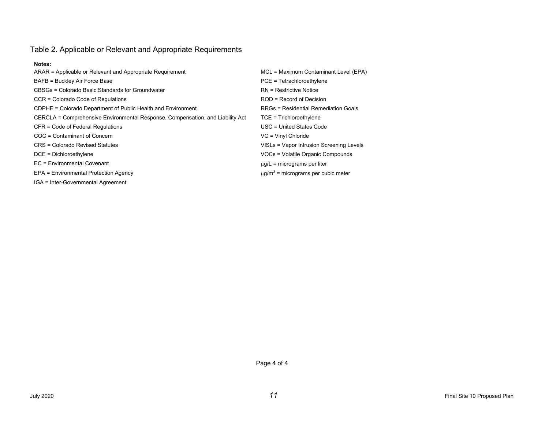#### **Notes:**

| ARAR = Applicable or Relevant and Appropriate Requirement                      | MCL = Maximum Contaminant Level (EPA)       |
|--------------------------------------------------------------------------------|---------------------------------------------|
| BAFB = Buckley Air Force Base                                                  | PCE = Tetrachloroethylene                   |
| CBSGs = Colorado Basic Standards for Groundwater                               | <b>RN</b> = Restrictive Notice              |
| CCR = Colorado Code of Regulations                                             | $ROD = Record$ of Decision                  |
| CDPHE = Colorado Department of Public Health and Environment                   | <b>RRGs = Residential Remediation Goals</b> |
| CERCLA = Comprehensive Environmental Response, Compensation, and Liability Act | $TCE = Trichloroethylene$                   |
| CFR = Code of Federal Regulations                                              | USC = United States Code                    |
| COC = Contaminant of Concern                                                   | $VC = Vinyl Chloride$                       |
| CRS = Colorado Revised Statutes                                                | VISLs = Vapor Intrusion Screening Levels    |
| $DCE = Dichloroethylene$                                                       | VOCs = Volatile Organic Compounds           |
| EC = Environmental Covenant                                                    | $\mu$ g/L = micrograms per liter            |
| EPA = Environmental Protection Agency                                          | $\mu q/m^3$ = micrograms per cubic meter    |
| IGA = Inter-Governmental Agreement                                             |                                             |

Page 4 of 4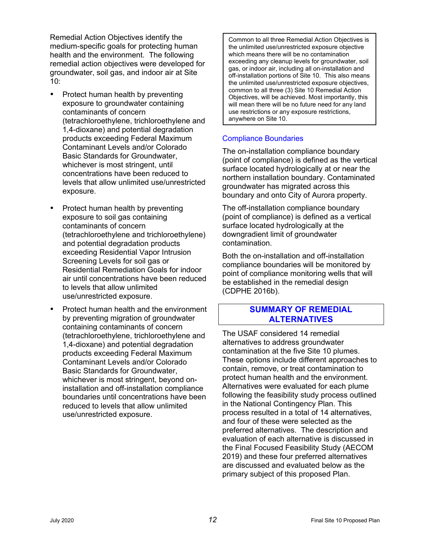Remedial Action Objectives identify the medium-specific goals for protecting human health and the environment. The following remedial action objectives were developed for groundwater, soil gas, and indoor air at Site 10:

- Protect human health by preventing exposure to groundwater containing contaminants of concern (tetrachloroethylene, trichloroethylene and 1,4-dioxane) and potential degradation products exceeding Federal Maximum Contaminant Levels and/or Colorado Basic Standards for Groundwater, whichever is most stringent, until concentrations have been reduced to levels that allow unlimited use/unrestricted exposure.
- Protect human health by preventing exposure to soil gas containing contaminants of concern (tetrachloroethylene and trichloroethylene) and potential degradation products exceeding Residential Vapor Intrusion Screening Levels for soil gas or Residential Remediation Goals for indoor air until concentrations have been reduced to levels that allow unlimited use/unrestricted exposure.
- Protect human health and the environment by preventing migration of groundwater containing contaminants of concern (tetrachloroethylene, trichloroethylene and 1,4-dioxane) and potential degradation products exceeding Federal Maximum Contaminant Levels and/or Colorado Basic Standards for Groundwater, whichever is most stringent, beyond oninstallation and off-installation compliance boundaries until concentrations have been reduced to levels that allow unlimited use/unrestricted exposure.

Common to all three Remedial Action Objectives is the unlimited use/unrestricted exposure objective which means there will be no contamination exceeding any cleanup levels for groundwater, soil gas, or indoor air, including all on-installation and off-installation portions of Site 10. This also means the unlimited use/unrestricted exposure objectives, common to all three (3) Site 10 Remedial Action Objectives, will be achieved. Most importantly, this will mean there will be no future need for any land use restrictions or any exposure restrictions, anywhere on Site 10.

### Compliance Boundaries

The on-installation compliance boundary (point of compliance) is defined as the vertical surface located hydrologically at or near the northern installation boundary. Contaminated groundwater has migrated across this boundary and onto City of Aurora property.

The off-installation compliance boundary (point of compliance) is defined as a vertical surface located hydrologically at the downgradient limit of groundwater contamination.

Both the on-installation and off-installation compliance boundaries will be monitored by point of compliance monitoring wells that will be established in the remedial design (CDPHE 2016b).

### **SUMMARY OF REMEDIAL ALTERNATIVES**

The USAF considered 14 remedial alternatives to address groundwater contamination at the five Site 10 plumes. These options include different approaches to contain, remove, or treat contamination to protect human health and the environment. Alternatives were evaluated for each plume following the feasibility study process outlined in the National Contingency Plan. This process resulted in a total of 14 alternatives, and four of these were selected as the preferred alternatives. The description and evaluation of each alternative is discussed in the Final Focused Feasibility Study (AECOM 2019) and these four preferred alternatives are discussed and evaluated below as the primary subject of this proposed Plan.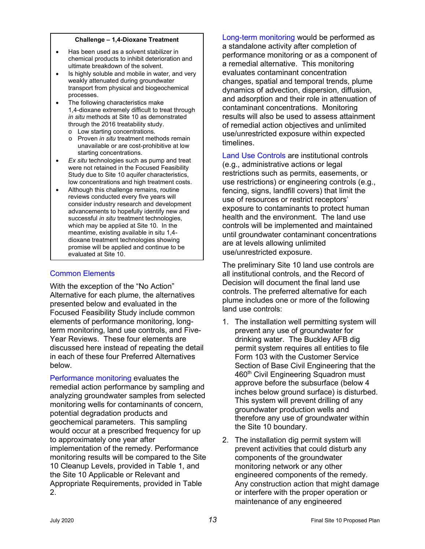#### **Challenge – 1,4-Dioxane Treatment**

- Has been used as a solvent stabilizer in chemical products to inhibit deterioration and ultimate breakdown of the solvent.
- Is highly soluble and mobile in water, and very weakly attenuated during groundwater transport from physical and biogeochemical processes.
- The following characteristics make 1,4-dioxane extremely difficult to treat through *in situ* methods at Site 10 as demonstrated through the 2016 treatability study.
	- o Low starting concentrations.
	- o Proven *in situ* treatment methods remain unavailable or are cost-prohibitive at low starting concentrations.
- *Ex situ* technologies such as pump and treat were not retained in the Focused Feasibility Study due to Site 10 aquifer characteristics, low concentrations and high treatment costs.
- Although this challenge remains, routine reviews conducted every five years will consider industry research and development advancements to hopefully identify new and successful *in situ* treatment technologies, which may be applied at Site 10. In the meantime, existing available in situ 1,4 dioxane treatment technologies showing promise will be applied and continue to be evaluated at Site 10.

### Common Elements

With the exception of the "No Action" Alternative for each plume, the alternatives presented below and evaluated in the Focused Feasibility Study include common elements of performance monitoring, longterm monitoring, land use controls, and Five-Year Reviews. These four elements are discussed here instead of repeating the detail in each of these four Preferred Alternatives below.

Performance monitoring evaluates the remedial action performance by sampling and analyzing groundwater samples from selected monitoring wells for contaminants of concern, potential degradation products and geochemical parameters. This sampling would occur at a prescribed frequency for up to approximately one year after implementation of the remedy. Performance monitoring results will be compared to the Site 10 Cleanup Levels, provided in Table 1, and the Site 10 Applicable or Relevant and Appropriate Requirements, provided in Table 2.

Long-term monitoring would be performed as a standalone activity after completion of performance monitoring or as a component of a remedial alternative. This monitoring evaluates contaminant concentration changes, spatial and temporal trends, plume dynamics of advection, dispersion, diffusion, and adsorption and their role in attenuation of contaminant concentrations. Monitoring results will also be used to assess attainment of remedial action objectives and unlimited use/unrestricted exposure within expected timelines.

Land Use Controls are institutional controls (e.g., administrative actions or legal restrictions such as permits, easements, or use restrictions) or engineering controls (e.g., fencing, signs, landfill covers) that limit the use of resources or restrict receptors' exposure to contaminants to protect human health and the environment. The land use controls will be implemented and maintained until groundwater contaminant concentrations are at levels allowing unlimited use/unrestricted exposure.

The preliminary Site 10 land use controls are all institutional controls, and the Record of Decision will document the final land use controls. The preferred alternative for each plume includes one or more of the following land use controls:

- 1. The installation well permitting system will prevent any use of groundwater for drinking water. The Buckley AFB dig permit system requires all entities to file Form 103 with the Customer Service Section of Base Civil Engineering that the 460<sup>th</sup> Civil Engineering Squadron must approve before the subsurface (below 4 inches below ground surface) is disturbed. This system will prevent drilling of any groundwater production wells and therefore any use of groundwater within the Site 10 boundary.
- 2. The installation dig permit system will prevent activities that could disturb any components of the groundwater monitoring network or any other engineered components of the remedy. Any construction action that might damage or interfere with the proper operation or maintenance of any engineered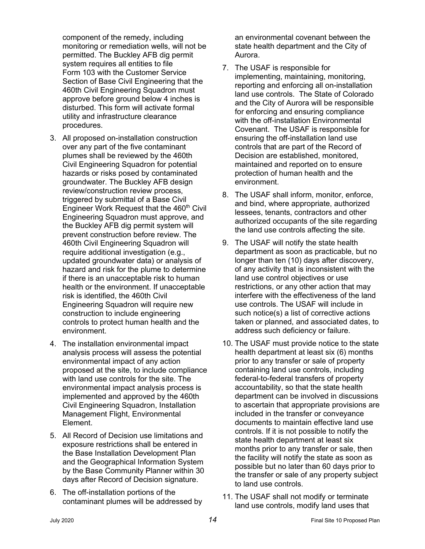component of the remedy, including monitoring or remediation wells, will not be permitted. The Buckley AFB dig permit system requires all entities to file Form 103 with the Customer Service Section of Base Civil Engineering that the 460th Civil Engineering Squadron must approve before ground below 4 inches is disturbed. This form will activate formal utility and infrastructure clearance procedures.

- 3. All proposed on-installation construction over any part of the five contaminant plumes shall be reviewed by the 460th Civil Engineering Squadron for potential hazards or risks posed by contaminated groundwater. The Buckley AFB design review/construction review process, triggered by submittal of a Base Civil Engineer Work Request that the 460<sup>th</sup> Civil Engineering Squadron must approve, and the Buckley AFB dig permit system will prevent construction before review. The 460th Civil Engineering Squadron will require additional investigation (e.g., updated groundwater data) or analysis of hazard and risk for the plume to determine if there is an unacceptable risk to human health or the environment. If unacceptable risk is identified, the 460th Civil Engineering Squadron will require new construction to include engineering controls to protect human health and the environment.
- 4. The installation environmental impact analysis process will assess the potential environmental impact of any action proposed at the site, to include compliance with land use controls for the site. The environmental impact analysis process is implemented and approved by the 460th Civil Engineering Squadron, Installation Management Flight, Environmental Element.
- 5. All Record of Decision use limitations and exposure restrictions shall be entered in the Base Installation Development Plan and the Geographical Information System by the Base Community Planner within 30 days after Record of Decision signature.
- 6. The off-installation portions of the contaminant plumes will be addressed by

an environmental covenant between the state health department and the City of Aurora.

- 7. The USAF is responsible for implementing, maintaining, monitoring, reporting and enforcing all on-installation land use controls. The State of Colorado and the City of Aurora will be responsible for enforcing and ensuring compliance with the off-installation Environmental Covenant. The USAF is responsible for ensuring the off-installation land use controls that are part of the Record of Decision are established, monitored, maintained and reported on to ensure protection of human health and the environment.
- 8. The USAF shall inform, monitor, enforce, and bind, where appropriate, authorized lessees, tenants, contractors and other authorized occupants of the site regarding the land use controls affecting the site.
- 9. The USAF will notify the state health department as soon as practicable, but no longer than ten (10) days after discovery, of any activity that is inconsistent with the land use control objectives or use restrictions, or any other action that may interfere with the effectiveness of the land use controls. The USAF will include in such notice(s) a list of corrective actions taken or planned, and associated dates, to address such deficiency or failure.
- 10. The USAF must provide notice to the state health department at least six (6) months prior to any transfer or sale of property containing land use controls, including federal-to-federal transfers of property accountability, so that the state health department can be involved in discussions to ascertain that appropriate provisions are included in the transfer or conveyance documents to maintain effective land use controls. If it is not possible to notify the state health department at least six months prior to any transfer or sale, then the facility will notify the state as soon as possible but no later than 60 days prior to the transfer or sale of any property subject to land use controls.
- 11. The USAF shall not modify or terminate land use controls, modify land uses that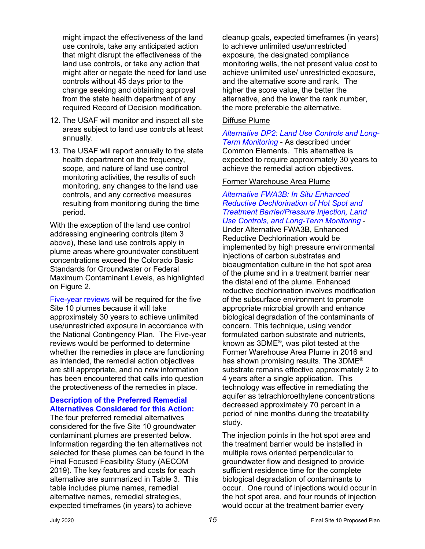might impact the effectiveness of the land use controls, take any anticipated action that might disrupt the effectiveness of the land use controls, or take any action that might alter or negate the need for land use controls without 45 days prior to the change seeking and obtaining approval from the state health department of any required Record of Decision modification.

- 12. The USAF will monitor and inspect all site areas subject to land use controls at least annually.
- 13. The USAF will report annually to the state health department on the frequency, scope, and nature of land use control monitoring activities, the results of such monitoring, any changes to the land use controls, and any corrective measures resulting from monitoring during the time period.

With the exception of the land use control addressing engineering controls (item 3 above), these land use controls apply in plume areas where groundwater constituent concentrations exceed the Colorado Basic Standards for Groundwater or Federal Maximum Contaminant Levels, as highlighted on Figure 2.

Five-year reviews will be required for the five Site 10 plumes because it will take approximately 30 years to achieve unlimited use/unrestricted exposure in accordance with the National Contingency Plan. The Five-year reviews would be performed to determine whether the remedies in place are functioning as intended, the remedial action objectives are still appropriate, and no new information has been encountered that calls into question the protectiveness of the remedies in place.

#### **Description of the Preferred Remedial Alternatives Considered for this Action:**

The four preferred remedial alternatives considered for the five Site 10 groundwater contaminant plumes are presented below. Information regarding the ten alternatives not selected for these plumes can be found in the Final Focused Feasibility Study (AECOM 2019). The key features and costs for each alternative are summarized in Table 3. This table includes plume names, remedial alternative names, remedial strategies, expected timeframes (in years) to achieve

cleanup goals, expected timeframes (in years) to achieve unlimited use/unrestricted exposure, the designated compliance monitoring wells, the net present value cost to achieve unlimited use/ unrestricted exposure, and the alternative score and rank. The higher the score value, the better the alternative, and the lower the rank number, the more preferable the alternative.

#### Diffuse Plume

*Alternative DP2: Land Use Controls and Long-Term Monitoring* - As described under Common Elements. This alternative is expected to require approximately 30 years to achieve the remedial action objectives.

#### Former Warehouse Area Plume

### *Alternative FWA3B: In Situ Enhanced Reductive Dechlorination of Hot Spot and Treatment Barrier/Pressure Injection, Land Use Controls, and Long-Term Monitoring* -

Under Alternative FWA3B, Enhanced Reductive Dechlorination would be implemented by high pressure environmental injections of carbon substrates and bioaugmentation culture in the hot spot area of the plume and in a treatment barrier near the distal end of the plume. Enhanced reductive dechlorination involves modification of the subsurface environment to promote appropriate microbial growth and enhance biological degradation of the contaminants of concern. This technique, using vendor formulated carbon substrate and nutrients, known as 3DME ® , was pilot tested at the Former Warehouse Area Plume in 2016 and has shown promising results. The 3DME<sup>®</sup> substrate remains effective approximately 2 to 4 years after a single application. This technology was effective in remediating the aquifer as tetrachloroethylene concentrations decreased approximately 70 percent in a period of nine months during the treatability study.

The injection points in the hot spot area and the treatment barrier would be installed in multiple rows oriented perpendicular to groundwater flow and designed to provide sufficient residence time for the complete biological degradation of contaminants to occur. One round of injections would occur in the hot spot area, and four rounds of injection would occur at the treatment barrier every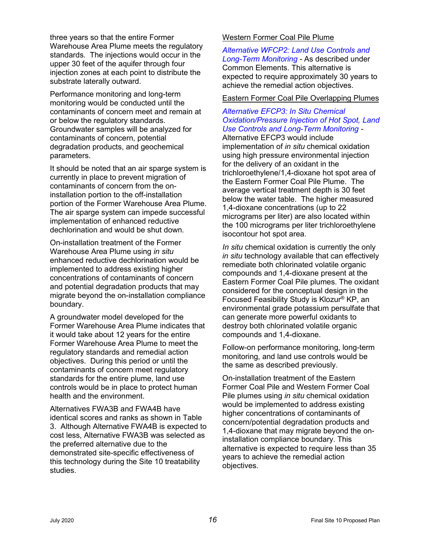three years so that the entire Former Warehouse Area Plume meets the regulatory standards. The injections would occur in the upper 30 feet of the aquifer through four injection zones at each point to distribute the substrate laterally outward.

Performance monitoring and long-term monitoring would be conducted until the contaminants of concern meet and remain at or below the regulatory standards. Groundwater samples will be analyzed for contaminants of concern, potential degradation products, and geochemical parameters.

It should be noted that an air sparge system is currently in place to prevent migration of contaminants of concern from the oninstallation portion to the off-installation portion of the Former Warehouse Area Plume. The air sparge system can impede successful implementation of enhanced reductive dechlorination and would be shut down.

On-installation treatment of the Former Warehouse Area Plume using *in situ* enhanced reductive dechlorination would be implemented to address existing higher concentrations of contaminants of concern and potential degradation products that may migrate beyond the on-installation compliance boundary.

A groundwater model developed for the Former Warehouse Area Plume indicates that it would take about 12 years for the entire Former Warehouse Area Plume to meet the regulatory standards and remedial action objectives. During this period or until the contaminants of concern meet regulatory standards for the entire plume, land use controls would be in place to protect human health and the environment.

Alternatives FWA3B and FWA4B have identical scores and ranks as shown in Table 3. Although Alternative FWA4B is expected to cost less, Alternative FWA3B was selected as the preferred alternative due to the demonstrated site-specific effectiveness of this technology during the Site 10 treatability studies.

### Western Former Coal Pile Plume

*Alternative WFCP2: Land Use Controls and Long-Term Monitoring -* As described under Common Elements. This alternative is expected to require approximately 30 years to achieve the remedial action objectives.

### Eastern Former Coal Pile Overlapping Plumes

### *Alternative EFCP3: In Situ Chemical Oxidation/Pressure Injection of Hot Spot, Land Use Controls and Long-Term Monitoring -*

Alternative EFCP3 would include implementation of *in situ* chemical oxidation using high pressure environmental injection for the delivery of an oxidant in the trichloroethylene/1,4-dioxane hot spot area of the Eastern Former Coal Pile Plume. The average vertical treatment depth is 30 feet below the water table. The higher measured 1,4-dioxane concentrations (up to 22 micrograms per liter) are also located within the 100 micrograms per liter trichloroethylene isocontour hot spot area.

*In situ* chemical oxidation is currently the only *in situ* technology available that can effectively remediate both chlorinated volatile organic compounds and 1,4-dioxane present at the Eastern Former Coal Pile plumes. The oxidant considered for the conceptual design in the Focused Feasibility Study is Klozur® KP, an environmental grade potassium persulfate that can generate more powerful oxidants to destroy both chlorinated volatile organic compounds and 1,4-dioxane.

Follow-on performance monitoring, long-term monitoring, and land use controls would be the same as described previously.

On-installation treatment of the Eastern Former Coal Pile and Western Former Coal Pile plumes using *in situ* chemical oxidation would be implemented to address existing higher concentrations of contaminants of concern/potential degradation products and 1,4-dioxane that may migrate beyond the oninstallation compliance boundary. This alternative is expected to require less than 35 years to achieve the remedial action objectives.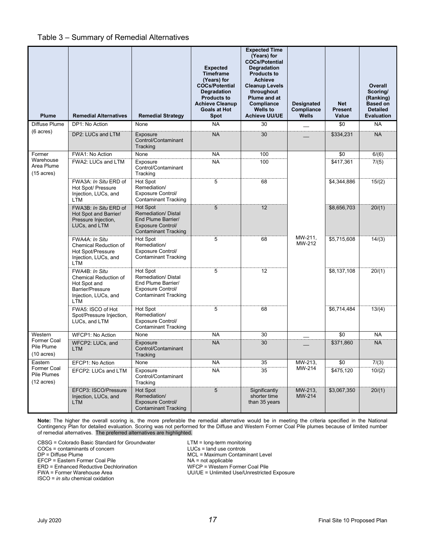#### Table 3 – Summary of Remedial Alternatives

| <b>Plume</b>                                              | <b>Remedial Alternatives</b>                                                                               | <b>Remedial Strategy</b>                                                                                                | <b>Expected</b><br><b>Timeframe</b><br>(Years) for<br><b>COCs/Potential</b><br><b>Degradation</b><br><b>Products to</b><br><b>Achieve Cleanup</b><br><b>Goals at Hot</b><br>Spot | <b>Expected Time</b><br>(Years) for<br><b>COCs/Potential</b><br><b>Degradation</b><br><b>Products to</b><br><b>Achieve</b><br><b>Cleanup Levels</b><br>throughout<br>Plume and at<br>Compliance<br><b>Wells to</b><br><b>Achieve UU/UE</b> | <b>Designated</b><br>Compliance<br><b>Wells</b> | <b>Net</b><br><b>Present</b><br>Value | Overall<br>Scoring/<br>(Ranking)<br><b>Based on</b><br><b>Detailed</b><br><b>Evaluation</b> |
|-----------------------------------------------------------|------------------------------------------------------------------------------------------------------------|-------------------------------------------------------------------------------------------------------------------------|----------------------------------------------------------------------------------------------------------------------------------------------------------------------------------|--------------------------------------------------------------------------------------------------------------------------------------------------------------------------------------------------------------------------------------------|-------------------------------------------------|---------------------------------------|---------------------------------------------------------------------------------------------|
| Diffuse Plume                                             | DP1: No Action                                                                                             | None                                                                                                                    | <b>NA</b>                                                                                                                                                                        | 30                                                                                                                                                                                                                                         |                                                 | \$0                                   | <b>NA</b>                                                                                   |
| $(6 \text{ acres})$                                       | DP2: LUCs and LTM                                                                                          | Exposure<br>Control/Contaminant<br>Tracking                                                                             | <b>NA</b>                                                                                                                                                                        | 30                                                                                                                                                                                                                                         |                                                 | \$334,231                             | <b>NA</b>                                                                                   |
| Former                                                    | FWA1: No Action                                                                                            | None                                                                                                                    | <b>NA</b>                                                                                                                                                                        | 100                                                                                                                                                                                                                                        |                                                 | \$0                                   | 6/(6)                                                                                       |
| Warehouse<br>Area Plume<br>$(15 \text{ acres})$           | FWA2: LUCs and LTM                                                                                         | Exposure<br>Control/Contaminant<br>Tracking                                                                             | <b>NA</b>                                                                                                                                                                        | 100                                                                                                                                                                                                                                        |                                                 | \$417,361                             | 7/(5)                                                                                       |
|                                                           | FWA3A: In Situ ERD of<br>Hot Spot/ Pressure<br>Injection, LUCs, and<br>LTM                                 | Hot Spot<br>Remediation/<br><b>Exposure Control/</b><br><b>Contaminant Tracking</b>                                     | 5                                                                                                                                                                                | 68                                                                                                                                                                                                                                         |                                                 | \$4,344,886                           | 15/(2)                                                                                      |
|                                                           | FWA3B: In Situ ERD of<br>Hot Spot and Barrier/<br>Pressure Injection,<br>LUCs, and LTM                     | Hot Spot<br><b>Remediation/ Distal</b><br>End Plume Barrier/<br><b>Exposure Control/</b><br><b>Contaminant Tracking</b> | 5                                                                                                                                                                                | 12                                                                                                                                                                                                                                         |                                                 | \$8,656,703                           | 20/(1)                                                                                      |
|                                                           | FWA4A: In Situ<br>Chemical Reduction of<br>Hot Spot/Pressure<br>Injection, LUCs, and<br>LTM                | Hot Spot<br>Remediation/<br><b>Exposure Control/</b><br><b>Contaminant Tracking</b>                                     | 5                                                                                                                                                                                | 68                                                                                                                                                                                                                                         | MW-211.<br>MW-212                               | \$5,715,608                           | 14/(3)                                                                                      |
|                                                           | FWA4B: In Situ<br>Chemical Reduction of<br>Hot Spot and<br>Barrier/Pressure<br>Injection, LUCs, and<br>LTM | Hot Spot<br>Remediation/Distal<br>End Plume Barrier/<br>Exposure Control/<br><b>Contaminant Tracking</b>                | 5                                                                                                                                                                                | 12                                                                                                                                                                                                                                         |                                                 | \$8,137,108                           | 20/(1)                                                                                      |
|                                                           | FWA5: ISCO of Hot<br>Spot/Pressure Injection,<br>LUCs, and LTM                                             | Hot Spot<br>Remediation/<br>Exposure Control/<br><b>Contaminant Tracking</b>                                            | 5                                                                                                                                                                                | 68                                                                                                                                                                                                                                         |                                                 | \$6,714,484                           | 13/(4)                                                                                      |
| Western                                                   | <b>WFCP1: No Action</b>                                                                                    | None                                                                                                                    | <b>NA</b>                                                                                                                                                                        | 30                                                                                                                                                                                                                                         |                                                 | \$0                                   | <b>NA</b>                                                                                   |
| Former Coal<br>Pile Plume<br>$(10 \text{ acres})$         | WFCP2: LUCs, and<br><b>LTM</b>                                                                             | Exposure<br>Control/Contaminant<br>Tracking                                                                             | <b>NA</b>                                                                                                                                                                        | 30                                                                                                                                                                                                                                         |                                                 | \$371,860                             | <b>NA</b>                                                                                   |
| Eastern                                                   | EFCP1: No Action                                                                                           | None                                                                                                                    | <b>NA</b>                                                                                                                                                                        | 35                                                                                                                                                                                                                                         | MW-213,                                         | \$0                                   | 7/(3)                                                                                       |
| <b>Former Coal</b><br>Pile Plumes<br>$(12 \text{ acres})$ | EFCP2: LUCs and LTM                                                                                        | Exposure<br>Control/Contaminant<br>Tracking                                                                             | <b>NA</b>                                                                                                                                                                        | 35                                                                                                                                                                                                                                         | MW-214                                          | \$475,120                             | 10/(2)                                                                                      |
|                                                           | EFCP3: ISCO/Pressure<br>Injection, LUCs, and<br>LTM                                                        | Hot Spot<br>Remediation/<br><b>Exposure Control/</b><br><b>Contaminant Tracking</b>                                     | $5\,$                                                                                                                                                                            | Significantly<br>shorter time<br>than 35 years                                                                                                                                                                                             | MW-213,<br>MW-214                               | \$3,067,350                           | 20/(1)                                                                                      |

**Note:** The higher the overall scoring is, the more preferable the remedial alternative would be in meeting the criteria specified in the National Contingency Plan for detailed evaluation. Scoring was not performed for the Diffuse and Western Former Coal Pile plumes because of limited number of remedial alternatives. The preferred alternatives are highlighted.

CBSG = Colorado Basic Standard for Groundwater LTM = long-term monitoring<br>COCs = contaminants of concern LUCs = land use controls COCs = contaminants of concern<br>DP = Diffuse Plume EFCP = Eastern Former Coal Pile<br>
ERD = Enhanced Reductive Dechlorination<br>
WFCP = Western Former Coal Pile ERD = Enhanced Reductive Dechlorination<br>FWA = Former Warehouse Area

ISCO = *in situ* chemical oxidation

**DREE = Maximum Contaminant Level<br>
NA = not applicable** UU/UE = Unlimited Use/Unrestricted Exposure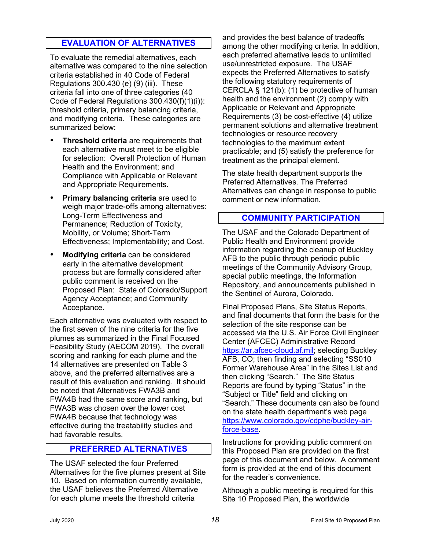# **EVALUATION OF ALTERNATIVES**

To evaluate the remedial alternatives, each alternative was compared to the nine selection criteria established in 40 Code of Federal Regulations 300.430 (e) (9) (iii). These criteria fall into one of three categories (40 Code of Federal Regulations 300.430(f)(1)(i)): threshold criteria, primary balancing criteria, and modifying criteria. These categories are summarized below:

- **Threshold criteria** are requirements that each alternative must meet to be eligible for selection: Overall Protection of Human Health and the Environment; and Compliance with Applicable or Relevant and Appropriate Requirements.
- **Primary balancing criteria** are used to weigh major trade-offs among alternatives: Long-Term Effectiveness and Permanence; Reduction of Toxicity, Mobility, or Volume; Short-Term Effectiveness; Implementability; and Cost.
- **Modifying criteria** can be considered early in the alternative development process but are formally considered after public comment is received on the Proposed Plan: State of Colorado/Support Agency Acceptance; and Community Acceptance.

Each alternative was evaluated with respect to the first seven of the nine criteria for the five plumes as summarized in the Final Focused Feasibility Study (AECOM 2019). The overall scoring and ranking for each plume and the 14 alternatives are presented on Table 3 above, and the preferred alternatives are a result of this evaluation and ranking. It should be noted that Alternatives FWA3B and FWA4B had the same score and ranking, but FWA3B was chosen over the lower cost FWA4B because that technology was effective during the treatability studies and had favorable results.

### **PREFERRED ALTERNATIVES**

The USAF selected the four Preferred Alternatives for the five plumes present at Site 10. Based on information currently available, the USAF believes the Preferred Alternative for each plume meets the threshold criteria

and provides the best balance of tradeoffs among the other modifying criteria. In addition, each preferred alternative leads to unlimited use/unrestricted exposure. The USAF expects the Preferred Alternatives to satisfy the following statutory requirements of CERCLA § 121(b): (1) be protective of human health and the environment (2) comply with Applicable or Relevant and Appropriate Requirements (3) be cost-effective (4) utilize permanent solutions and alternative treatment technologies or resource recovery technologies to the maximum extent practicable; and (5) satisfy the preference for treatment as the principal element.

The state health department supports the Preferred Alternatives. The Preferred Alternatives can change in response to public comment or new information.

### **COMMUNITY PARTICIPATION**

The USAF and the Colorado Department of Public Health and Environment provide information regarding the cleanup of Buckley AFB to the public through periodic public meetings of the Community Advisory Group, special public meetings, the Information Repository, and announcements published in the Sentinel of Aurora, Colorado.

Final Proposed Plans, Site Status Reports, and final documents that form the basis for the selection of the site response can be accessed via the U.S. Air Force Civil Engineer Center (AFCEC) Administrative Record [https://ar.afcec-cloud.af.mil;](https://ar.afcec-cloud.af.mil/) selecting Buckley AFB, CO; then finding and selecting "SS010 Former Warehouse Area" in the Sites List and then clicking "Search." The Site Status Reports are found by typing "Status" in the "Subject or Title" field and clicking on "Search." These documents can also be found on the state health department's web page [https://www.colorado.gov/cdphe/buckley-air](https://www.colorado.gov/cdphe/buckley-air-force-base)[force-base.](https://www.colorado.gov/cdphe/buckley-air-force-base)

Instructions for providing public comment on this Proposed Plan are provided on the first page of this document and below. A comment form is provided at the end of this document for the reader's convenience.

Although a public meeting is required for this Site 10 Proposed Plan, the worldwide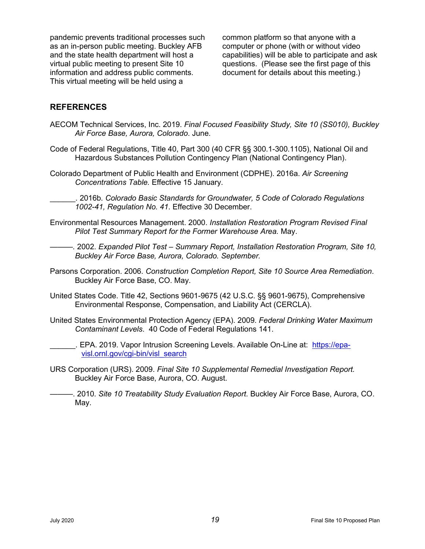pandemic prevents traditional processes such as an in-person public meeting. Buckley AFB and the state health department will host a virtual public meeting to present Site 10 information and address public comments. This virtual meeting will be held using a

common platform so that anyone with a computer or phone (with or without video capabilities) will be able to participate and ask questions. (Please see the first page of this document for details about this meeting.)

### **REFERENCES**

- AECOM Technical Services, Inc. 2019. *Final Focused Feasibility Study, Site 10 (SS010), Buckley Air Force Base, Aurora, Colorado*. June.
- Code of Federal Regulations, Title 40, Part 300 (40 CFR §§ 300.1-300.1105), National Oil and Hazardous Substances Pollution Contingency Plan (National Contingency Plan).
- Colorado Department of Public Health and Environment (CDPHE). 2016a. *Air Screening Concentrations Table.* Effective 15 January.
- \_\_\_\_\_\_. 2016b. *Colorado Basic Standards for Groundwater, 5 Code of Colorado Regulations 1002-41, Regulation No. 41*. Effective 30 December.
- Environmental Resources Management. 2000. *Installation Restoration Program Revised Final Pilot Test Summary Report for the Former Warehouse Area.* May.

*———.* 2002. *Expanded Pilot Test – Summary Report, Installation Restoration Program, Site 10, Buckley Air Force Base, Aurora, Colorado. September.*

- Parsons Corporation. 2006. *Construction Completion Report, Site 10 Source Area Remediation*. Buckley Air Force Base, CO. May.
- United States Code. Title 42, Sections 9601-9675 (42 U.S.C. §§ 9601-9675), Comprehensive Environmental Response, Compensation, and Liability Act (CERCLA).
- United States Environmental Protection Agency (EPA). 2009. *Federal Drinking Water Maximum Contaminant Levels*. 40 Code of Federal Regulations 141.
- \_\_\_\_\_\_. EPA. 2019. Vapor Intrusion Screening Levels. Available On-Line at: [https://epa](https://epa-visl.ornl.gov/cgi-bin/visl_search)[visl.ornl.gov/cgi-bin/visl\\_search](https://epa-visl.ornl.gov/cgi-bin/visl_search)
- URS Corporation (URS). 2009. *Final Site 10 Supplemental Remedial Investigation Report.*  Buckley Air Force Base, Aurora, CO. August.

———. 2010. *Site 10 Treatability Study Evaluation Report*. Buckley Air Force Base, Aurora, CO. May.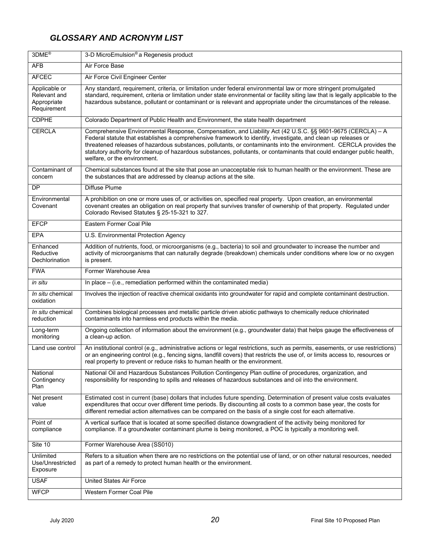# *GLOSSARY AND ACRONYM LIST*

| 3DME <sup>®</sup>                                           | 3-D MicroEmulsion <sup>®</sup> a Regenesis product                                                                                                                                                                                                                                                                                                                                                                                                                                                           |
|-------------------------------------------------------------|--------------------------------------------------------------------------------------------------------------------------------------------------------------------------------------------------------------------------------------------------------------------------------------------------------------------------------------------------------------------------------------------------------------------------------------------------------------------------------------------------------------|
| <b>AFB</b>                                                  | Air Force Base                                                                                                                                                                                                                                                                                                                                                                                                                                                                                               |
| <b>AFCEC</b>                                                | Air Force Civil Engineer Center                                                                                                                                                                                                                                                                                                                                                                                                                                                                              |
| Applicable or<br>Relevant and<br>Appropriate<br>Requirement | Any standard, requirement, criteria, or limitation under federal environmental law or more stringent promulgated<br>standard, requirement, criteria or limitation under state environmental or facility siting law that is legally applicable to the<br>hazardous substance, pollutant or contaminant or is relevant and appropriate under the circumstances of the release.                                                                                                                                 |
| <b>CDPHE</b>                                                | Colorado Department of Public Health and Environment, the state health department                                                                                                                                                                                                                                                                                                                                                                                                                            |
| <b>CERCLA</b>                                               | Comprehensive Environmental Response, Compensation, and Liability Act (42 U.S.C. §§ 9601-9675 (CERCLA) - A<br>Federal statute that establishes a comprehensive framework to identify, investigate, and clean up releases or<br>threatened releases of hazardous substances, pollutants, or contaminants into the environment. CERCLA provides the<br>statutory authority for cleanup of hazardous substances, pollutants, or contaminants that could endanger public health,<br>welfare, or the environment. |
| Contaminant of<br>concern                                   | Chemical substances found at the site that pose an unacceptable risk to human health or the environment. These are<br>the substances that are addressed by cleanup actions at the site.                                                                                                                                                                                                                                                                                                                      |
| DP                                                          | Diffuse Plume                                                                                                                                                                                                                                                                                                                                                                                                                                                                                                |
| Environmental<br>Covenant                                   | A prohibition on one or more uses of, or activities on, specified real property. Upon creation, an environmental<br>covenant creates an obligation on real property that survives transfer of ownership of that property. Regulated under<br>Colorado Revised Statutes § 25-15-321 to 327.                                                                                                                                                                                                                   |
| <b>EFCP</b>                                                 | Eastern Former Coal Pile                                                                                                                                                                                                                                                                                                                                                                                                                                                                                     |
| EPA                                                         | U.S. Environmental Protection Agency                                                                                                                                                                                                                                                                                                                                                                                                                                                                         |
| Enhanced<br>Reductive<br>Dechlorination                     | Addition of nutrients, food, or microorganisms (e.g., bacteria) to soil and groundwater to increase the number and<br>activity of microorganisms that can naturally degrade (breakdown) chemicals under conditions where low or no oxygen<br>is present.                                                                                                                                                                                                                                                     |
| <b>FWA</b>                                                  | Former Warehouse Area                                                                                                                                                                                                                                                                                                                                                                                                                                                                                        |
| in situ                                                     | In place - (i.e., remediation performed within the contaminated media)                                                                                                                                                                                                                                                                                                                                                                                                                                       |
| In situ chemical<br>oxidation                               | Involves the injection of reactive chemical oxidants into groundwater for rapid and complete contaminant destruction.                                                                                                                                                                                                                                                                                                                                                                                        |
| <i>In situ</i> chemical<br>reduction                        | Combines biological processes and metallic particle driven abiotic pathways to chemically reduce chlorinated<br>contaminants into harmless end products within the media.                                                                                                                                                                                                                                                                                                                                    |
| Long-term<br>monitoring                                     | Ongoing collection of information about the environment (e.g., groundwater data) that helps gauge the effectiveness of<br>a clean-up action.                                                                                                                                                                                                                                                                                                                                                                 |
| Land use control                                            | An institutional control (e.g., administrative actions or legal restrictions, such as permits, easements, or use restrictions)<br>or an engineering control (e.g., fencing signs, landfill covers) that restricts the use of, or limits access to, resources or<br>real property to prevent or reduce risks to human health or the environment.                                                                                                                                                              |
| National<br>Contingency<br>Plan                             | National Oil and Hazardous Substances Pollution Contingency Plan outline of procedures, organization, and<br>responsibility for responding to spills and releases of hazardous substances and oil into the environment.                                                                                                                                                                                                                                                                                      |
| Net present<br>value                                        | Estimated cost in current (base) dollars that includes future spending. Determination of present value costs evaluates<br>expenditures that occur over different time periods. By discounting all costs to a common base year, the costs for<br>different remedial action alternatives can be compared on the basis of a single cost for each alternative.                                                                                                                                                   |
| Point of<br>compliance                                      | A vertical surface that is located at some specified distance downgradient of the activity being monitored for<br>compliance. If a groundwater contaminant plume is being monitored, a POC is typically a monitoring well.                                                                                                                                                                                                                                                                                   |
| Site 10                                                     | Former Warehouse Area (SS010)                                                                                                                                                                                                                                                                                                                                                                                                                                                                                |
| Unlimited<br>Use/Unrestricted<br>Exposure                   | Refers to a situation when there are no restrictions on the potential use of land, or on other natural resources, needed<br>as part of a remedy to protect human health or the environment.                                                                                                                                                                                                                                                                                                                  |
| <b>USAF</b>                                                 | <b>United States Air Force</b>                                                                                                                                                                                                                                                                                                                                                                                                                                                                               |
| <b>WFCP</b>                                                 | Western Former Coal Pile                                                                                                                                                                                                                                                                                                                                                                                                                                                                                     |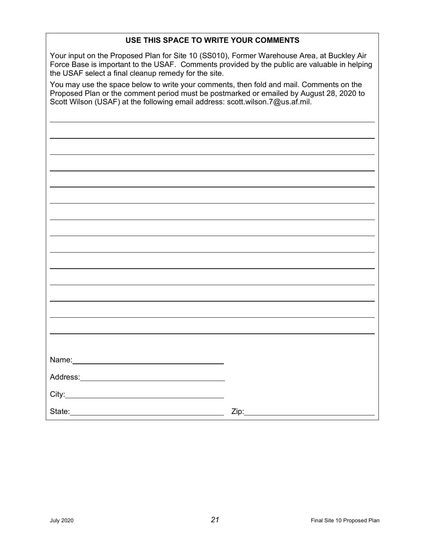### **USE THIS SPACE TO WRITE YOUR COMMENTS**

Your input on the Proposed Plan for Site 10 (SS010), Former Warehouse Area, at Buckley Air Force Base is important to the USAF. Comments provided by the public are valuable in helping the USAF select a final cleanup remedy for the site.

You may use the space below to write your comments, then fold and mail. Comments on the Proposed Plan or the comment period must be postmarked or emailed by August 28, 2020 to Scott Wilson (USAF) at the following email address: scott.wilson.7@us.af.mil.

| Name: Name and the state of the state of the state of the state of the state of the state of the state of the state of the state of the state of the state of the state of the state of the state of the state of the state of |      |
|--------------------------------------------------------------------------------------------------------------------------------------------------------------------------------------------------------------------------------|------|
|                                                                                                                                                                                                                                |      |
|                                                                                                                                                                                                                                |      |
|                                                                                                                                                                                                                                |      |
|                                                                                                                                                                                                                                |      |
|                                                                                                                                                                                                                                |      |
|                                                                                                                                                                                                                                |      |
|                                                                                                                                                                                                                                |      |
|                                                                                                                                                                                                                                |      |
|                                                                                                                                                                                                                                |      |
|                                                                                                                                                                                                                                | Zip: |
|                                                                                                                                                                                                                                |      |